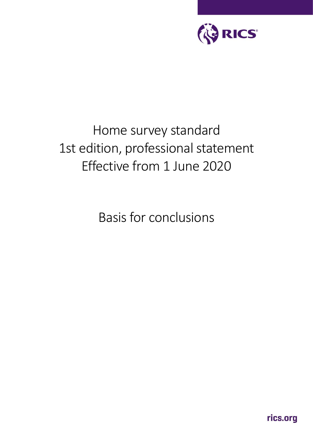

# Home survey standard 1st edition, professional statement Effective from 1 June 2020

Basis for conclusions

rics.org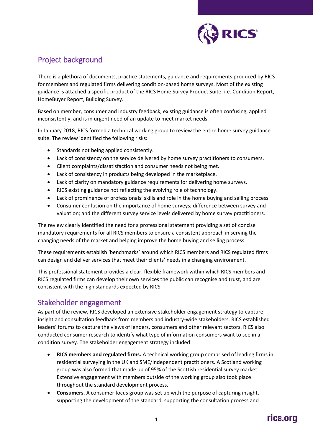

# Project background

There is a plethora of documents, practice statements, guidance and requirements produced by RICS for members and regulated firms delivering condition-based home surveys. Most of the existing guidance is attached a specific product of the RICS Home Survey Product Suite. i.e. Condition Report, HomeBuyer Report, Building Survey.

Based on member, consumer and industry feedback, existing guidance is often confusing, applied inconsistently, and is in urgent need of an update to meet market needs.

In January 2018, RICS formed a technical working group to review the entire home survey guidance suite. The review identified the following risks:

- Standards not being applied consistently.
- Lack of consistency on the service delivered by home survey practitioners to consumers.
- Client complaints/dissatisfaction and consumer needs not being met.
- Lack of consistency in products being developed in the marketplace.
- Lack of clarity on mandatory guidance requirements for delivering home surveys.
- RICS existing guidance not reflecting the evolving role of technology.
- Lack of prominence of professionals' skills and role in the home buying and selling process.
- Consumer confusion on the importance of home surveys; difference between survey and valuation; and the different survey service levels delivered by home survey practitioners.

The review clearly identified the need for a professional statement providing a set of concise mandatory requirements for all RICS members to ensure a consistent approach in serving the changing needs of the market and helping improve the home buying and selling process.

These requirements establish 'benchmarks' around which RICS members and RICS regulated firms can design and deliver services that meet their clients' needs in a changing environment.

This professional statement provides a clear, flexible framework within which RICS members and RICS regulated firms can develop their own services the public can recognise and trust, and are consistent with the high standards expected by RICS.

## Stakeholder engagement

As part of the review, RICS developed an extensive stakeholder engagement strategy to capture insight and consultation feedback from members and industry-wide stakeholders. RICS established leaders' forums to capture the views of lenders, consumers and other relevant sectors. RICS also conducted consumer research to identify what type of information consumers want to see in a condition survey. The stakeholder engagement strategy included:

- **RICS members and regulated firms.** A technical working group comprised of leading firms in residential surveying in the UK and SME/independent practitioners. A Scotland working group was also formed that made up of 95% of the Scottish residential survey market. Extensive engagement with members outside of the working group also took place throughout the standard development process.
- **Consumers**. A consumer focus group was set up with the purpose of capturing insight, supporting the development of the standard, supporting the consultation process and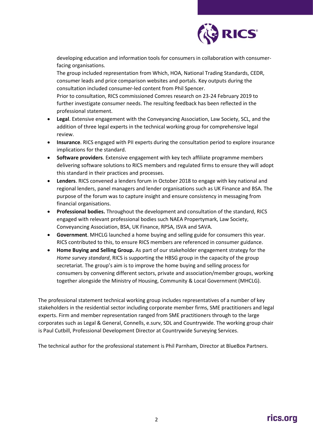

developing education and information tools for consumers in collaboration with consumerfacing organisations.

The group included representation from Which, HOA, National Trading Standards, CEDR, consumer leads and price comparison websites and portals. Key outputs during the consultation included consumer-led content from Phil Spencer.

Prior to consultation, RICS commissioned Comres research on 23-24 February 2019 to further investigate consumer needs. The resulting feedback has been reflected in the professional statement.

- **Legal**. Extensive engagement with the Conveyancing Association, Law Society, SCL, and the addition of three legal experts in the technical working group for comprehensive legal review.
- **Insurance**. RICS engaged with PII experts during the consultation period to explore insurance implications for the standard.
- **Software providers**. Extensive engagement with key tech affiliate programme members delivering software solutions to RICS members and regulated firms to ensure they will adopt this standard in their practices and processes.
- **Lenders**. RICS convened a lenders forum in October 2018 to engage with key national and regional lenders, panel managers and lender organisations such as UK Finance and BSA. The purpose of the forum was to capture insight and ensure consistency in messaging from financial organisations.
- **Professional bodies.** Throughout the development and consultation of the standard, RICS engaged with relevant professional bodies such NAEA Propertymark, Law Society, Conveyancing Association, BSA, UK Finance, RPSA, ISVA and SAVA.
- **Government**. MHCLG launched a home buying and selling guide for consumers this year. RICS contributed to this, to ensure RICS members are referenced in consumer guidance.
- **Home Buying and Selling Group.** As part of our stakeholder engagement strategy for the *Home survey standard*, RICS is supporting the HBSG group in the capacity of the group secretariat. The group's aim is to improve the home buying and selling process for consumers by convening different sectors, private and association/member groups, working together alongside the Ministry of Housing, Community & Local Government (MHCLG).

The professional statement technical working group includes representatives of a number of key stakeholders in the residential sector including corporate member firms, SME practitioners and legal experts. Firm and member representation ranged from SME practitioners through to the large corporates such as Legal & General, Connells, e.surv, SDL and Countrywide. The working group chair is Paul Cutbill, Professional Development Director at Countrywide Surveying Services.

The technical author for the professional statement is Phil Parnham, Director at BlueBox Partners.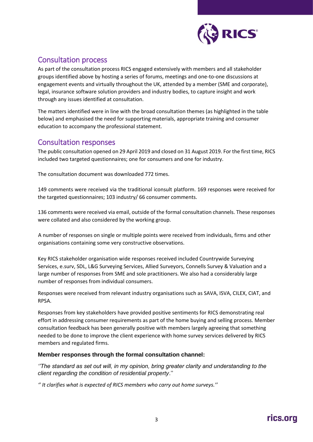

## Consultation process

As part of the consultation process RICS engaged extensively with members and all stakeholder groups identified above by hosting a series of forums, meetings and one-to-one discussions at engagement events and virtually throughout the UK, attended by a member (SME and corporate), legal, insurance software solution providers and industry bodies, to capture insight and work through any issues identified at consultation.

The matters identified were in line with the broad consultation themes (as highlighted in the table below) and emphasised the need for supporting materials, appropriate training and consumer education to accompany the professional statement.

### Consultation responses

The public consultation opened on 29 April 2019 and closed on 31 August 2019. For the first time, RICS included two targeted questionnaires; one for consumers and one for industry.

The consultation document was downloaded 772 times.

149 comments were received via the traditional iconsult platform. 169 responses were received for the targeted questionnaires; 103 industry/ 66 consumer comments.

136 comments were received via email, outside of the formal consultation channels. These responses were collated and also considered by the working group.

A number of responses on single or multiple points were received from individuals, firms and other organisations containing some very constructive observations.

Key RICS stakeholder organisation wide responses received included Countrywide Surveying Services, e.surv, SDL, L&G Surveying Services, Allied Surveyors, Connells Survey & Valuation and a large number of responses from SME and sole practitioners. We also had a considerably large number of responses from individual consumers.

Responses were received from relevant industry organisations such as SAVA, ISVA, CILEX, CIAT, and RPSA.

Responses from key stakeholders have provided positive sentiments for RICS demonstrating real effort in addressing consumer requirements as part of the home buying and selling process. Member consultation feedback has been generally positive with members largely agreeing that something needed to be done to improve the client experience with home survey services delivered by RICS members and regulated firms.

#### **Member responses through the formal consultation channel:**

*''The standard as set out will, in my opinion, bring greater clarity and understanding to the client regarding the condition of residential property*.''

*'' It clarifies what is expected of RICS members who carry out home surveys.''*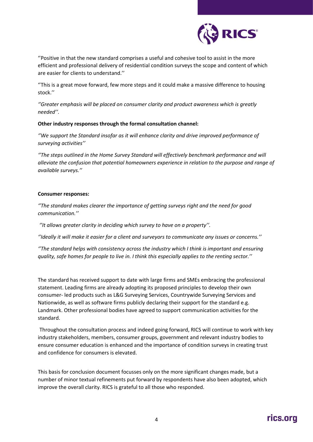

''Positive in that the new standard comprises a useful and cohesive tool to assist in the more efficient and professional delivery of residential condition surveys the scope and content of which are easier for clients to understand.''

''This is a great move forward, few more steps and it could make a massive difference to housing stock.''

*''Greater emphasis will be placed on consumer clarity and product awareness which is greatly needed''.*

#### **Other industry responses through the formal consultation channel:**

*''We support the Standard insofar as it will enhance clarity and drive improved performance of surveying activities''*

*''The steps outlined in the Home Survey Standard will effectively benchmark performance and will alleviate the confusion that potential homeowners experience in relation to the purpose and range of available surveys.''*

#### **Consumer responses:**

*''The standard makes clearer the importance of getting surveys right and the need for good communication.''*

*''It allows greater clarity in deciding which survey to have on a property''.*

*''Ideally it will make it easier for a client and surveyors to communicate any issues or concerns.''*

*''The standard helps with consistency across the industry which I think is important and ensuring quality, safe homes for people to live in. I think this especially applies to the renting sector.''* 

The standard has received support to date with large firms and SMEs embracing the professional statement. Leading firms are already adopting its proposed principles to develop their own consumer- led products such as L&G Surveying Services, Countrywide Surveying Services and Nationwide, as well as software firms publicly declaring their support for the standard e.g. Landmark. Other professional bodies have agreed to support communication activities for the standard.

Throughout the consultation process and indeed going forward, RICS will continue to work with key industry stakeholders, members, consumer groups, government and relevant industry bodies to ensure consumer education is enhanced and the importance of condition surveys in creating trust and confidence for consumers is elevated.

This basis for conclusion document focusses only on the more significant changes made, but a number of minor textual refinements put forward by respondents have also been adopted, which improve the overall clarity. RICS is grateful to all those who responded.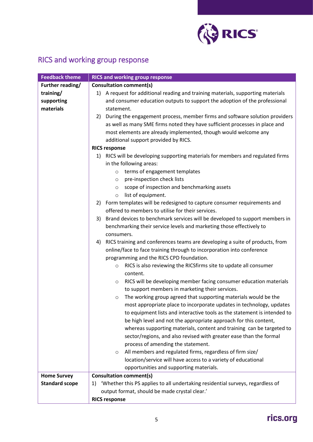

# RICS and working group response

| <b>Feedback theme</b> | <b>RICS and working group response</b>                                               |
|-----------------------|--------------------------------------------------------------------------------------|
| Further reading/      | <b>Consultation comment(s)</b>                                                       |
| training/             | 1) A request for additional reading and training materials, supporting materials     |
| supporting            | and consumer education outputs to support the adoption of the professional           |
| materials             | statement.                                                                           |
|                       | During the engagement process, member firms and software solution providers<br>2)    |
|                       | as well as many SME firms noted they have sufficient processes in place and          |
|                       | most elements are already implemented, though would welcome any                      |
|                       | additional support provided by RICS.                                                 |
|                       | <b>RICS response</b>                                                                 |
|                       | 1) RICS will be developing supporting materials for members and regulated firms      |
|                       | in the following areas:                                                              |
|                       | terms of engagement templates<br>$\circ$                                             |
|                       | pre-inspection check lists<br>$\circ$                                                |
|                       | scope of inspection and benchmarking assets<br>$\circ$                               |
|                       | list of equipment.<br>$\circ$                                                        |
|                       | Form templates will be redesigned to capture consumer requirements and<br>2)         |
|                       | offered to members to utilise for their services.                                    |
|                       | Brand devices to benchmark services will be developed to support members in<br>3)    |
|                       | benchmarking their service levels and marketing those effectively to                 |
|                       | consumers.                                                                           |
|                       | RICS training and conferences teams are developing a suite of products, from<br>4)   |
|                       | online/face to face training through to incorporation into conference                |
|                       | programming and the RICS CPD foundation.                                             |
|                       | RICS is also reviewing the RICSfirms site to update all consumer<br>$\circ$          |
|                       | content.                                                                             |
|                       | RICS will be developing member facing consumer education materials<br>$\circ$        |
|                       | to support members in marketing their services.                                      |
|                       | The working group agreed that supporting materials would be the<br>$\circ$           |
|                       | most appropriate place to incorporate updates in technology, updates                 |
|                       | to equipment lists and interactive tools as the statement is intended to             |
|                       | be high level and not the appropriate approach for this content,                     |
|                       | whereas supporting materials, content and training can be targeted to                |
|                       | sector/regions, and also revised with greater ease than the formal                   |
|                       | process of amending the statement.                                                   |
|                       | All members and regulated firms, regardless of firm size/<br>$\circ$                 |
|                       | location/service will have access to a variety of educational                        |
|                       | opportunities and supporting materials.                                              |
| <b>Home Survey</b>    | <b>Consultation comment(s)</b>                                                       |
| <b>Standard scope</b> | 'Whether this PS applies to all undertaking residential surveys, regardless of<br>1) |
|                       | output format, should be made crystal clear.'                                        |
|                       | <b>RICS response</b>                                                                 |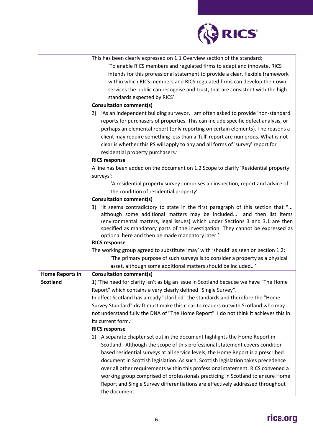

|                        | This has been clearly expressed on 1.1 Overview section of the standard:               |
|------------------------|----------------------------------------------------------------------------------------|
|                        | 'To enable RICS members and regulated firms to adapt and innovate, RICS                |
|                        | intends for this professional statement to provide a clear, flexible framework         |
|                        | within which RICS members and RICS regulated firms can develop their own               |
|                        | services the public can recognise and trust, that are consistent with the high         |
|                        | standards expected by RICS'.                                                           |
|                        | <b>Consultation comment(s)</b>                                                         |
|                        | 'As an independent building surveyor, I am often asked to provide 'non-standard'<br>2) |
|                        | reports for purchasers of properties. This can include specific defect analysis, or    |
|                        | perhaps an elemental report (only reporting on certain elements). The reasons a        |
|                        | client may require something less than a 'full' report are numerous. What is not       |
|                        | clear is whether this PS will apply to any and all forms of 'survey' report for        |
|                        | residential property purchasers.'                                                      |
|                        | <b>RICS response</b>                                                                   |
|                        | A line has been added on the document on 1.2 Scope to clarify 'Residential property    |
|                        | surveys':                                                                              |
|                        | 'A residential property survey comprises an inspection, report and advice of           |
|                        | the condition of residential property'.                                                |
|                        | <b>Consultation comment(s)</b>                                                         |
|                        | 'It seems contradictory to state in the first paragraph of this section that "<br>3)   |
|                        | although some additional matters may be included" and then list items                  |
|                        | (environmental matters, legal issues) which under Sections 3 and 3.1 are then          |
|                        | specified as mandatory parts of the investigation. They cannot be expressed as         |
|                        | optional here and then be made mandatory later.'                                       |
|                        | <b>RICS response</b>                                                                   |
|                        | The working group agreed to substitute 'may' with 'should' as seen on section 1.2:     |
|                        | 'The primary purpose of such surveys is to consider a property as a physical           |
|                        | asset, although some additional matters should be included'.                           |
| <b>Home Reports in</b> | <b>Consultation comment(s)</b>                                                         |
| <b>Scotland</b>        | 1) 'The need for clarity isn't as big an issue in Scotland because we have "The Home   |
|                        | Report" which contains a very clearly defined "Single Survey".                         |
|                        | In effect Scotland has already "clarified" the standards and therefore the "Home       |
|                        | Survey Standard" draft must make this clear to readers outwith Scotland who may        |
|                        | not understand fully the DNA of "The Home Report". I do not think it achieves this in  |
|                        | its current form.'                                                                     |
|                        | <b>RICS response</b>                                                                   |
|                        | A separate chapter set out in the document highlights the Home Report in<br>1)         |
|                        | Scotland. Although the scope of this professional statement covers condition-          |
|                        | based residential surveys at all service levels, the Home Report is a prescribed       |
|                        | document in Scottish legislation. As such, Scottish legislation takes precedence       |
|                        | over all other requirements within this professional statement. RICS convened a        |
|                        | working group comprised of professionals practicing in Scotland to ensure Home         |
|                        | Report and Single Survey differentiations are effectively addressed throughout         |
|                        | the document.                                                                          |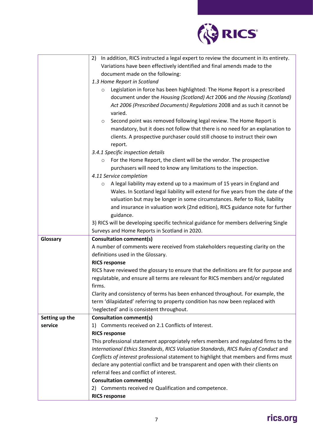

|                | In addition, RICS instructed a legal expert to review the document in its entirety.<br>2) |
|----------------|-------------------------------------------------------------------------------------------|
|                | Variations have been effectively identified and final amends made to the                  |
|                | document made on the following:                                                           |
|                | 1.3 Home Report in Scotland                                                               |
|                | Legislation in force has been highlighted: The Home Report is a prescribed<br>$\circ$     |
|                | document under the Housing (Scotland) Act 2006 and the Housing (Scotland)                 |
|                | Act 2006 (Prescribed Documents) Regulations 2008 and as such it cannot be                 |
|                | varied.                                                                                   |
|                | Second point was removed following legal review. The Home Report is<br>$\circ$            |
|                | mandatory, but it does not follow that there is no need for an explanation to             |
|                | clients. A prospective purchaser could still choose to instruct their own                 |
|                | report.                                                                                   |
|                | 3.4.1 Specific inspection details                                                         |
|                | For the Home Report, the client will be the vendor. The prospective<br>$\circ$            |
|                | purchasers will need to know any limitations to the inspection.                           |
|                | 4.11 Service completion                                                                   |
|                | A legal liability may extend up to a maximum of 15 years in England and<br>$\circ$        |
|                | Wales. In Scotland legal liability will extend for five years from the date of the        |
|                | valuation but may be longer in some circumstances. Refer to Risk, liability               |
|                | and insurance in valuation work (2nd edition), RICS guidance note for further             |
|                | guidance.                                                                                 |
|                | 3) RICS will be developing specific technical guidance for members delivering Single      |
|                | Surveys and Home Reports in Scotland in 2020.                                             |
| Glossary       | <b>Consultation comment(s)</b>                                                            |
|                | A number of comments were received from stakeholders requesting clarity on the            |
|                | definitions used in the Glossary.                                                         |
|                | <b>RICS response</b>                                                                      |
|                | RICS have reviewed the glossary to ensure that the definitions are fit for purpose and    |
|                | regulatable, and ensure all terms are relevant for RICS members and/or regulated          |
|                | firms.                                                                                    |
|                | Clarity and consistency of terms has been enhanced throughout. For example, the           |
|                | term 'dilapidated' referring to property condition has now been replaced with             |
|                | 'neglected' and is consistent throughout.                                                 |
| Setting up the | <b>Consultation comment(s)</b>                                                            |
| service        | 1) Comments received on 2.1 Conflicts of Interest.                                        |
|                | <b>RICS response</b>                                                                      |
|                | This professional statement appropriately refers members and regulated firms to the       |
|                | International Ethics Standards, RICS Valuation Standards, RICS Rules of Conduct and       |
|                | Conflicts of interest professional statement to highlight that members and firms must     |
|                | declare any potential conflict and be transparent and open with their clients on          |
|                | referral fees and conflict of interest.                                                   |
|                | <b>Consultation comment(s)</b>                                                            |
|                | 2) Comments received re Qualification and competence.                                     |
|                | <b>RICS response</b>                                                                      |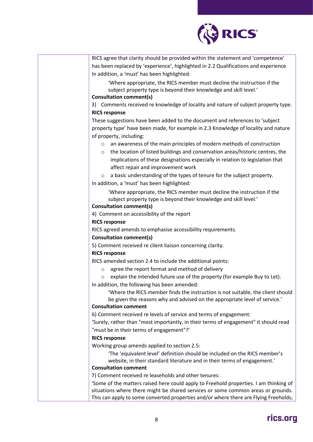

RICS agree that clarity should be provided within the statement and 'competence' has been replaced by 'experience', highlighted in 2.2 Qualifications and experience In addition, a 'must' has been highlighted:

'Where appropriate, the RICS member must decline the instruction if the subject property type is beyond their knowledge and skill level.'

#### **Consultation comment(s)**

3) Comments received re knowledge of locality and nature of subject property type. **RICS response**

These suggestions have been added to the document and references to 'subject property type' have been made, for example in 2.3 Knowledge of locality and nature of property, including:

- o an awareness of the main principles of modern methods of construction
- o the location of listed buildings and conservation areas/historic centres, the implications of these designations especially in relation to legislation that affect repair and improvement work
- o a basic understanding of the types of tenure for the subject property. In addition, a 'must' has been highlighted:

'Where appropriate, the RICS member must decline the instruction if the subject property type is beyond their knowledge and skill level.'

#### **Consultation comment(s)**

4) Comment on accessibility of the report

#### **RICS response**

RICS agreed amends to emphasise accessibility requirements.

#### **Consultation comment(s)**

5) Comment received re client liaison concerning clarity.

#### **RICS response**

RICS amended section 2.4 to include the additional points:

- o agree the report format and method of delivery
- $\circ$  explain the intended future use of the property (for example Buy to Let).

In addition, the following has been amended:

'Where the RICS member finds the instruction is not suitable, the client should be given the reasons why and advised on the appropriate level of service.'

#### **Consultation comment**

6) Comment received re levels of service and terms of engagement:

'Surely, rather than "most importantly, in their terms of engagement" it should read "must be in their terms of engagement"?'

#### **RICS response**

Working group amends applied to section 2.5:

'The 'equivalent level' definition should be included on the RICS member's website, in their standard literature and in their terms of engagement.'

#### **Consultation comment**

7) Comment received re leaseholds and other tenures:

'Some of the matters raised here could apply to Freehold properties. I am thinking of situations where there might be shared services or some common areas or grounds. This can apply to some converted properties and/or where there are Flying Freeholds;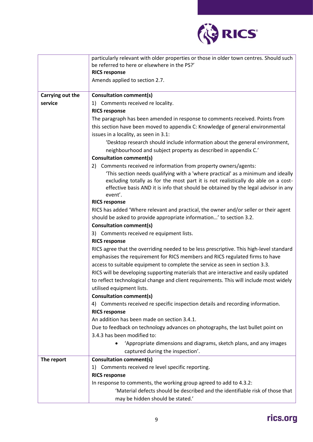

|                  | particularly relevant with older properties or those in older town centres. Should such       |
|------------------|-----------------------------------------------------------------------------------------------|
|                  | be referred to here or elsewhere in the PS?'                                                  |
|                  | <b>RICS response</b>                                                                          |
|                  | Amends applied to section 2.7.                                                                |
| Carrying out the | <b>Consultation comment(s)</b>                                                                |
| service          | 1) Comments received re locality.                                                             |
|                  | <b>RICS response</b>                                                                          |
|                  | The paragraph has been amended in response to comments received. Points from                  |
|                  | this section have been moved to appendix C: Knowledge of general environmental                |
|                  | issues in a locality, as seen in 3.1:                                                         |
|                  | 'Desktop research should include information about the general environment,                   |
|                  | neighbourhood and subject property as described in appendix C.'                               |
|                  | <b>Consultation comment(s)</b>                                                                |
|                  | 2) Comments received re information from property owners/agents:                              |
|                  | 'This section needs qualifying with a 'where practical' as a minimum and ideally              |
|                  | excluding totally as for the most part it is not realistically do able on a cost-             |
|                  | effective basis AND it is info that should be obtained by the legal advisor in any<br>event'. |
|                  | <b>RICS response</b>                                                                          |
|                  | RICS has added 'Where relevant and practical, the owner and/or seller or their agent          |
|                  | should be asked to provide appropriate information' to section 3.2.                           |
|                  | <b>Consultation comment(s)</b>                                                                |
|                  | 3) Comments received re equipment lists.                                                      |
|                  | <b>RICS response</b>                                                                          |
|                  | RICS agree that the overriding needed to be less prescriptive. This high-level standard       |
|                  | emphasises the requirement for RICS members and RICS regulated firms to have                  |
|                  | access to suitable equipment to complete the service as seen in section 3.3.                  |
|                  | RICS will be developing supporting materials that are interactive and easily updated          |
|                  | to reflect technological change and client requirements. This will include most widely        |
|                  | utilised equipment lists.                                                                     |
|                  | <b>Consultation comment(s)</b>                                                                |
|                  | Comments received re specific inspection details and recording information.<br>4)             |
|                  | <b>RICS response</b>                                                                          |
|                  | An addition has been made on section 3.4.1.                                                   |
|                  | Due to feedback on technology advances on photographs, the last bullet point on               |
|                  | 3.4.3 has been modified to:                                                                   |
|                  | 'Appropriate dimensions and diagrams, sketch plans, and any images                            |
|                  | captured during the inspection'.                                                              |
| The report       | <b>Consultation comment(s)</b>                                                                |
|                  | Comments received re level specific reporting.<br>1)                                          |
|                  | <b>RICS response</b>                                                                          |
|                  | In response to comments, the working group agreed to add to 4.3.2:                            |
|                  | 'Material defects should be described and the identifiable risk of those that                 |
|                  | may be hidden should be stated.'                                                              |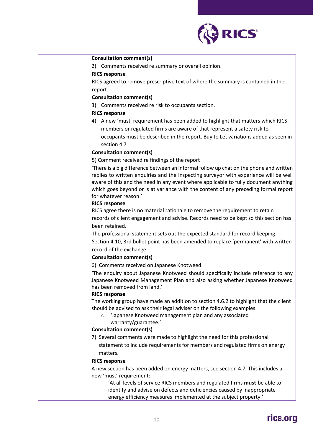

#### **Consultation comment(s)**

2) Comments received re summary or overall opinion.

#### **RICS response**

RICS agreed to remove prescriptive text of where the summary is contained in the report.

#### **Consultation comment(s)**

3) Comments received re risk to occupants section.

#### **RICS response**

4) A new 'must' requirement has been added to highlight that matters which RICS members or regulated firms are aware of that represent a safety risk to occupants must be described in the report. Buy to Let variations added as seen in section 4.7

#### **Consultation comment(s)**

5) Comment received re findings of the report

'There is a big difference between an informal follow up chat on the phone and written replies to written enquiries and the inspecting surveyor with experience will be well aware of this and the need in any event where applicable to fully document anything which goes beyond or is at variance with the content of any preceding formal report for whatever reason.'

#### **RICS response**

RICS agree there is no material rationale to remove the requirement to retain records of client engagement and advise. Records need to be kept so this section has been retained.

The professional statement sets out the expected standard for record keeping. Section 4.10, 3rd bullet point has been amended to replace 'permanent' with written

#### record of the exchange.

#### **Consultation comment(s)**

6) Comments received on Japanese Knotweed.

'The enquiry about Japanese Knotweed should specifically include reference to any Japanese Knotweed Management Plan and also asking whether Japanese Knotweed has been removed from land.'

#### **RICS response**

The working group have made an addition to section 4.6.2 to highlight that the client should be advised to ask their legal adviser on the following examples:

o 'Japanese Knotweed management plan and any associated warranty/guarantee.'

#### **Consultation comment(s)**

7) Several comments were made to highlight the need for this professional statement to include requirements for members and regulated firms on energy matters.

#### **RICS response**

A new section has been added on energy matters, see section 4.7. This includes a new 'must' requirement:

'At all levels of service RICS members and regulated firms **must** be able to identify and advise on defects and deficiencies caused by inappropriate energy efficiency measures implemented at the subject property.'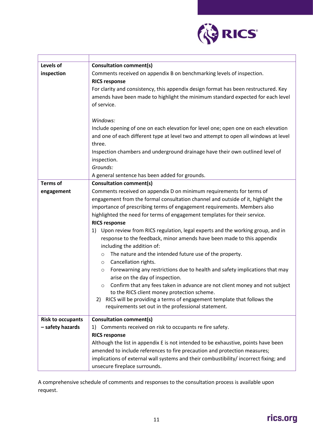

| Levels of                | <b>Consultation comment(s)</b>                                                         |
|--------------------------|----------------------------------------------------------------------------------------|
| inspection               | Comments received on appendix B on benchmarking levels of inspection.                  |
|                          | <b>RICS response</b>                                                                   |
|                          | For clarity and consistency, this appendix design format has been restructured. Key    |
|                          | amends have been made to highlight the minimum standard expected for each level        |
|                          | of service.                                                                            |
|                          |                                                                                        |
|                          | Windows:                                                                               |
|                          | Include opening of one on each elevation for level one; open one on each elevation     |
|                          | and one of each different type at level two and attempt to open all windows at level   |
|                          | three.                                                                                 |
|                          | Inspection chambers and underground drainage have their own outlined level of          |
|                          | inspection.                                                                            |
|                          | Grounds:                                                                               |
|                          | A general sentence has been added for grounds.                                         |
| <b>Terms of</b>          | <b>Consultation comment(s)</b>                                                         |
| engagement               | Comments received on appendix D on minimum requirements for terms of                   |
|                          | engagement from the formal consultation channel and outside of it, highlight the       |
|                          | importance of prescribing terms of engagement requirements. Members also               |
|                          | highlighted the need for terms of engagement templates for their service.              |
|                          | <b>RICS response</b>                                                                   |
|                          | Upon review from RICS regulation, legal experts and the working group, and in<br>1)    |
|                          | response to the feedback, minor amends have been made to this appendix                 |
|                          | including the addition of:                                                             |
|                          | The nature and the intended future use of the property.<br>$\circ$                     |
|                          | Cancellation rights.<br>$\circ$                                                        |
|                          | Forewarning any restrictions due to health and safety implications that may<br>$\circ$ |
|                          | arise on the day of inspection.                                                        |
|                          | Confirm that any fees taken in advance are not client money and not subject<br>$\circ$ |
|                          | to the RICS client money protection scheme.                                            |
|                          | RICS will be providing a terms of engagement template that follows the<br>2)           |
|                          | requirements set out in the professional statement.                                    |
| <b>Risk to occupants</b> | <b>Consultation comment(s)</b>                                                         |
| - safety hazards         | 1) Comments received on risk to occupants re fire safety.                              |
|                          | <b>RICS response</b>                                                                   |
|                          | Although the list in appendix E is not intended to be exhaustive, points have been     |
|                          | amended to include references to fire precaution and protection measures;              |
|                          | implications of external wall systems and their combustibility/ incorrect fixing; and  |
|                          | unsecure fireplace surrounds.                                                          |

A comprehensive schedule of comments and responses to the consultation process is available upon request.